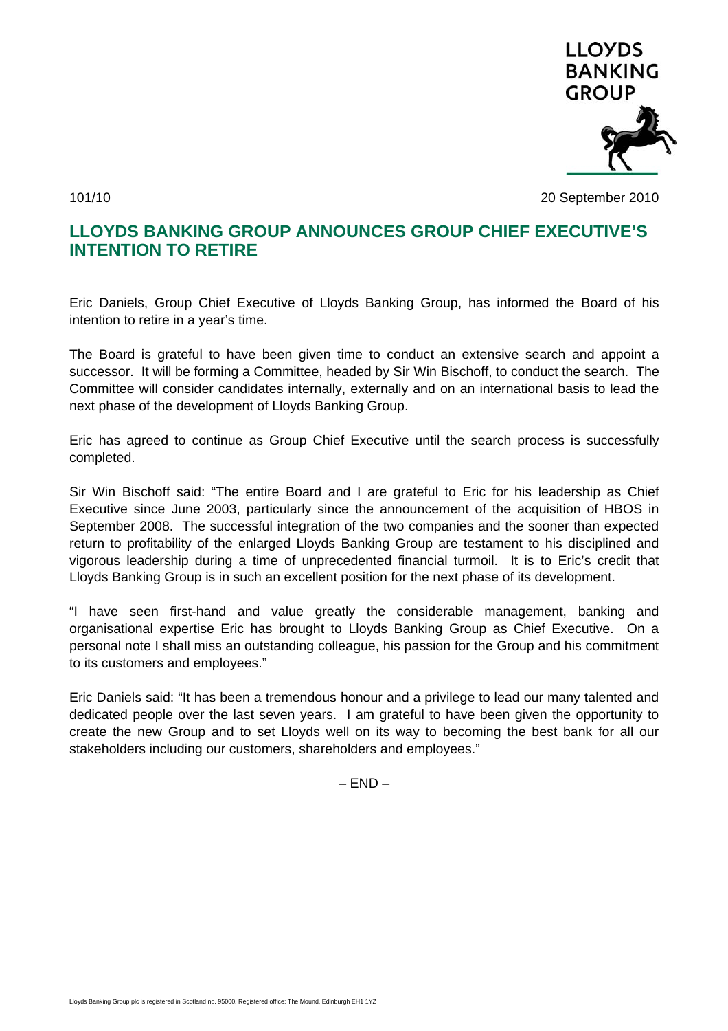

101/10 20 September 2010

## **LLOYDS BANKING GROUP ANNOUNCES GROUP CHIEF EXECUTIVE'S INTENTION TO RETIRE**

Eric Daniels, Group Chief Executive of Lloyds Banking Group, has informed the Board of his intention to retire in a year's time.

The Board is grateful to have been given time to conduct an extensive search and appoint a successor. It will be forming a Committee, headed by Sir Win Bischoff, to conduct the search. The Committee will consider candidates internally, externally and on an international basis to lead the next phase of the development of Lloyds Banking Group.

Eric has agreed to continue as Group Chief Executive until the search process is successfully completed.

Sir Win Bischoff said: "The entire Board and I are grateful to Eric for his leadership as Chief Executive since June 2003, particularly since the announcement of the acquisition of HBOS in September 2008. The successful integration of the two companies and the sooner than expected return to profitability of the enlarged Lloyds Banking Group are testament to his disciplined and vigorous leadership during a time of unprecedented financial turmoil. It is to Eric's credit that Lloyds Banking Group is in such an excellent position for the next phase of its development.

"I have seen first-hand and value greatly the considerable management, banking and organisational expertise Eric has brought to Lloyds Banking Group as Chief Executive. On a personal note I shall miss an outstanding colleague, his passion for the Group and his commitment to its customers and employees."

Eric Daniels said: "It has been a tremendous honour and a privilege to lead our many talented and dedicated people over the last seven years. I am grateful to have been given the opportunity to create the new Group and to set Lloyds well on its way to becoming the best bank for all our stakeholders including our customers, shareholders and employees."

 $-$  END  $-$